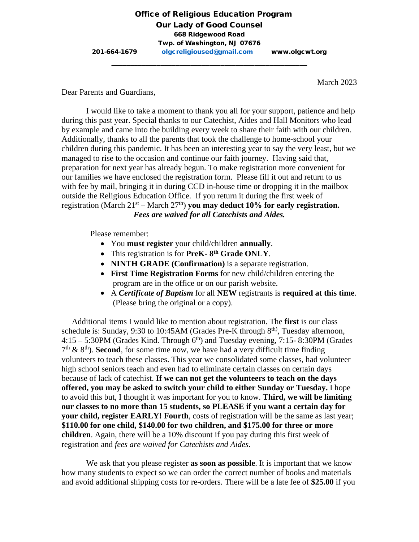March 2023

Dear Parents and Guardians,

I would like to take a moment to thank you all for your support, patience and help during this past year. Special thanks to our Catechist, Aides and Hall Monitors who lead by example and came into the building every week to share their faith with our children. Additionally, thanks to all the parents that took the challenge to home-school your children during this pandemic. It has been an interesting year to say the very least, but we managed to rise to the occasion and continue our faith journey. Having said that, preparation for next year has already begun. To make registration more convenient for our families we have enclosed the registration form. Please fill it out and return to us with fee by mail, bringing it in during CCD in-house time or dropping it in the mailbox outside the Religious Education Office. If you return it during the first week of registration (March  $21^{st}$  – March  $27^{th}$ ) **you may deduct 10% for early registration.** *Fees are waived for all Catechists and Aides.*

Please remember:

- You **must register** your child/children **annually**.
- This registration is for **PreK- 8th Grade ONLY**.
- **NINTH GRADE (Confirmation)** is a separate registration.
- **First Time Registration Forms** for new child/children entering the program are in the office or on our parish website.
- A *Certificate of Baptism* for all **NEW** registrants is **required at this time**. (Please bring the original or a copy).

 Additional items I would like to mention about registration. The **first** is our class schedule is: Sunday, 9:30 to 10:45AM (Grades Pre-K through 8<sup>th)</sup>, Tuesday afternoon,  $4:15 - 5:30$ PM (Grades Kind. Through  $6<sup>th</sup>$ ) and Tuesday evening, 7:15-8:30PM (Grades  $7<sup>th</sup>$  &  $8<sup>th</sup>$ ). **Second**, for some time now, we have had a very difficult time finding volunteers to teach these classes. This year we consolidated some classes, had volunteer high school seniors teach and even had to eliminate certain classes on certain days because of lack of catechist. **If we can not get the volunteers to teach on the days offered, you may be asked to switch your child to either Sunday or Tuesday.** I hope to avoid this but, I thought it was important for you to know. **Third, we will be limiting our classes to no more than 15 students, so PLEASE if you want a certain day for your child, register EARLY! Fourth**, costs of registration will be the same as last year; **\$110.00 for one child, \$140.00 for two children, and \$175.00 for three or more children**. Again, there will be a 10% discount if you pay during this first week of registration and *fees are waived for Catechists and Aides*.

We ask that you please register **as soon as possible**. It is important that we know how many students to expect so we can order the correct number of books and materials and avoid additional shipping costs for re-orders. There will be a late fee of **\$25.00** if you